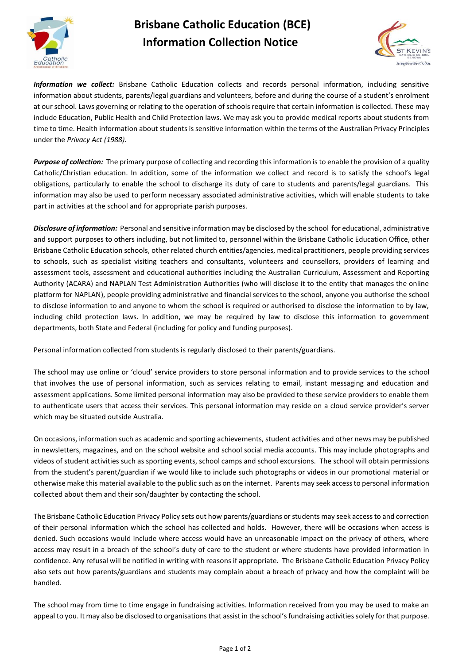

## **Brisbane Catholic Education (BCE) Information Collection Notice**



*Information we collect:* Brisbane Catholic Education collects and records personal information, including sensitive information about students, parents/legal guardians and volunteers, before and during the course of a student's enrolment at our school. Laws governing or relating to the operation of schools require that certain information is collected. These may include Education, Public Health and Child Protection laws. We may ask you to provide medical reports about students from time to time. Health information about students is sensitive information within the terms of the Australian Privacy Principles under the *Privacy Act (1988)*.

*Purpose of collection:* The primary purpose of collecting and recording this information is to enable the provision of a quality Catholic/Christian education. In addition, some of the information we collect and record is to satisfy the school's legal obligations, particularly to enable the school to discharge its duty of care to students and parents/legal guardians. This information may also be used to perform necessary associated administrative activities, which will enable students to take part in activities at the school and for appropriate parish purposes.

*Disclosure of information:* Personal and sensitive information may be disclosed by the school for educational, administrative and support purposes to others including, but not limited to, personnel within the Brisbane Catholic Education Office, other Brisbane Catholic Education schools, other related church entities/agencies, medical practitioners, people providing services to schools, such as specialist visiting teachers and consultants, volunteers and counsellors, providers of learning and assessment tools, assessment and educational authorities including the Australian Curriculum, Assessment and Reporting Authority (ACARA) and NAPLAN Test Administration Authorities (who will disclose it to the entity that manages the online platform for NAPLAN), people providing administrative and financial services to the school, anyone you authorise the school to disclose information to and anyone to whom the school is required or authorised to disclose the information to by law, including child protection laws. In addition, we may be required by law to disclose this information to government departments, both State and Federal (including for policy and funding purposes).

Personal information collected from students is regularly disclosed to their parents/guardians.

The school may use online or 'cloud' service providers to store personal information and to provide services to the school that involves the use of personal information, such as services relating to email, instant messaging and education and assessment applications. Some limited personal information may also be provided to these service providers to enable them to authenticate users that access their services. This personal information may reside on a cloud service provider's server which may be situated outside Australia.

On occasions, information such as academic and sporting achievements, student activities and other news may be published in newsletters, magazines, and on the school website and school social media accounts. This may include photographs and videos of student activities such as sporting events, school camps and school excursions. The school will obtain permissions from the student's parent/guardian if we would like to include such photographs or videos in our promotional material or otherwise make this material available to the public such as on the internet. Parents may seek access to personal information collected about them and their son/daughter by contacting the school.

The Brisbane Catholic Education Privacy Policy sets out how parents/guardians or students may seek access to and correction of their personal information which the school has collected and holds. However, there will be occasions when access is denied. Such occasions would include where access would have an unreasonable impact on the privacy of others, where access may result in a breach of the school's duty of care to the student or where students have provided information in confidence. Any refusal will be notified in writing with reasons if appropriate. The Brisbane Catholic Education Privacy Policy also sets out how parents/guardians and students may complain about a breach of privacy and how the complaint will be handled.

The school may from time to time engage in fundraising activities. Information received from you may be used to make an appeal to you. It may also be disclosed to organisations that assist in the school's fundraising activities solely for that purpose.